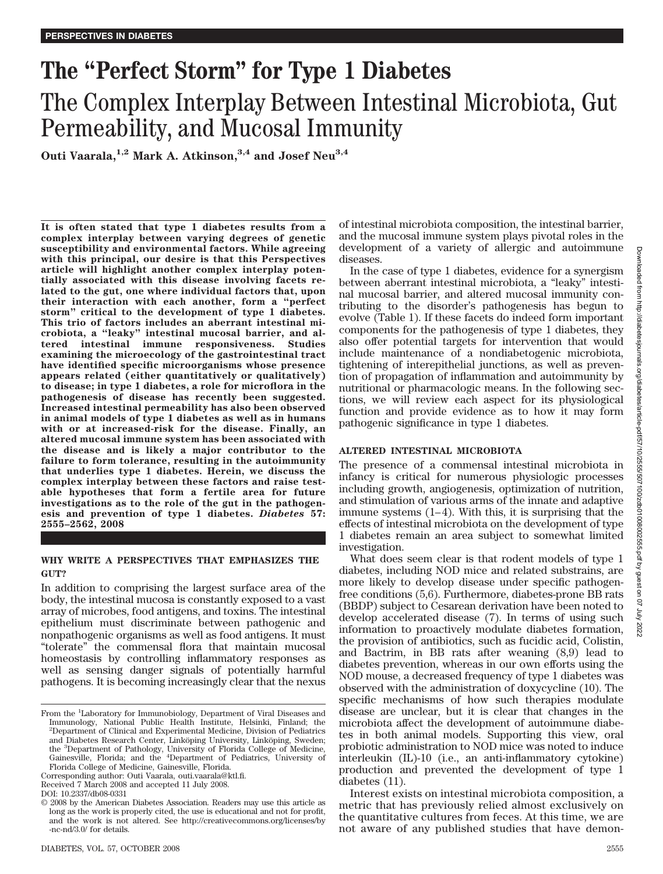# **The "Perfect Storm" for Type 1 Diabetes** The Complex Interplay Between Intestinal Microbiota, Gut Permeability, and Mucosal Immunity

**Outi Vaarala,1,2 Mark A. Atkinson,3,4 and Josef Neu3,4**

**It is often stated that type 1 diabetes results from a complex interplay between varying degrees of genetic susceptibility and environmental factors. While agreeing with this principal, our desire is that this Perspectives article will highlight another complex interplay potentially associated with this disease involving facets related to the gut, one where individual factors that, upon their interaction with each another, form a "perfect storm" critical to the development of type 1 diabetes. This trio of factors includes an aberrant intestinal microbiota, a "leaky" intestinal mucosal barrier, and al**tered intestinal immune responsiveness. **examining the microecology of the gastrointestinal tract have identified specific microorganisms whose presence appears related (either quantitatively or qualitatively) to disease; in type 1 diabetes, a role for microflora in the pathogenesis of disease has recently been suggested. Increased intestinal permeability has also been observed in animal models of type 1 diabetes as well as in humans with or at increased-risk for the disease. Finally, an altered mucosal immune system has been associated with the disease and is likely a major contributor to the failure to form tolerance, resulting in the autoimmunity that underlies type 1 diabetes. Herein, we discuss the complex interplay between these factors and raise testable hypotheses that form a fertile area for future investigations as to the role of the gut in the pathogenesis and prevention of type 1 diabetes.** *Diabetes* **57: 2555–2562, 2008**

#### **WHY WRITE A PERSPECTIVES THAT EMPHASIZES THE GUT?**

In addition to comprising the largest surface area of the body, the intestinal mucosa is constantly exposed to a vast array of microbes, food antigens, and toxins. The intestinal epithelium must discriminate between pathogenic and nonpathogenic organisms as well as food antigens. It must "tolerate" the commensal flora that maintain mucosal homeostasis by controlling inflammatory responses as well as sensing danger signals of potentially harmful pathogens. It is becoming increasingly clear that the nexus

Corresponding author: Outi Vaarala, outi.vaarala@ktl.fi. Received 7 March 2008 and accepted 11 July 2008.

of intestinal microbiota composition, the intestinal barrier, and the mucosal immune system plays pivotal roles in the development of a variety of allergic and autoimmune diseases.

In the case of type 1 diabetes, evidence for a synergism between aberrant intestinal microbiota, a "leaky" intestinal mucosal barrier, and altered mucosal immunity contributing to the disorder's pathogenesis has begun to evolve (Table 1). If these facets do indeed form important components for the pathogenesis of type 1 diabetes, they also offer potential targets for intervention that would include maintenance of a nondiabetogenic microbiota, tightening of interepithelial junctions, as well as prevention of propagation of inflammation and autoimmunity by nutritional or pharmacologic means. In the following sections, we will review each aspect for its physiological function and provide evidence as to how it may form pathogenic significance in type 1 diabetes.

## **ALTERED INTESTINAL MICROBIOTA**

The presence of a commensal intestinal microbiota in infancy is critical for numerous physiologic processes including growth, angiogenesis, optimization of nutrition, and stimulation of various arms of the innate and adaptive immune systems (1–4). With this, it is surprising that the effects of intestinal microbiota on the development of type 1 diabetes remain an area subject to somewhat limited investigation.

What does seem clear is that rodent models of type 1 diabetes, including NOD mice and related substrains, are more likely to develop disease under specific pathogenfree conditions (5,6). Furthermore, diabetes-prone BB rats (BBDP) subject to Cesarean derivation have been noted to develop accelerated disease (7). In terms of using such information to proactively modulate diabetes formation, the provision of antibiotics, such as fucidic acid, Colistin, and Bactrim, in BB rats after weaning (8,9) lead to diabetes prevention, whereas in our own efforts using the NOD mouse, a decreased frequency of type 1 diabetes was observed with the administration of doxycycline (10). The specific mechanisms of how such therapies modulate disease are unclear, but it is clear that changes in the microbiota affect the development of autoimmune diabetes in both animal models. Supporting this view, oral probiotic administration to NOD mice was noted to induce interleukin (IL)-10 (i.e., an anti-inflammatory cytokine) production and prevented the development of type 1 diabetes (11).

Interest exists on intestinal microbiota composition, a metric that has previously relied almost exclusively on the quantitative cultures from feces. At this time, we are not aware of any published studies that have demon-

From the <sup>1</sup>Laboratory for Immunobiology, Department of Viral Diseases and Immunology, National Public Health Institute, Helsinki, Finland; the <sup>2</sup> Department of Clinical and Experimental Medicine, Division of Pediatrics<br>and Diabetes Research Center, Linköping University, Linköping, Sweden; the <sup>3</sup>Department of Pathology, University of Florida College of Medicine, Gainesville, Florida; and the <sup>4</sup>Department of Pediatrics, University of Florida College of Medicine, Gainesville, Florida.

DOI: 10.2337/db08-0331

<sup>© 2008</sup> by the American Diabetes Association. Readers may use this article as long as the work is properly cited, the use is educational and not for profit, and the work is not altered. See http://creativecommons.org/licenses/by -nc-nd/3.0/ for details.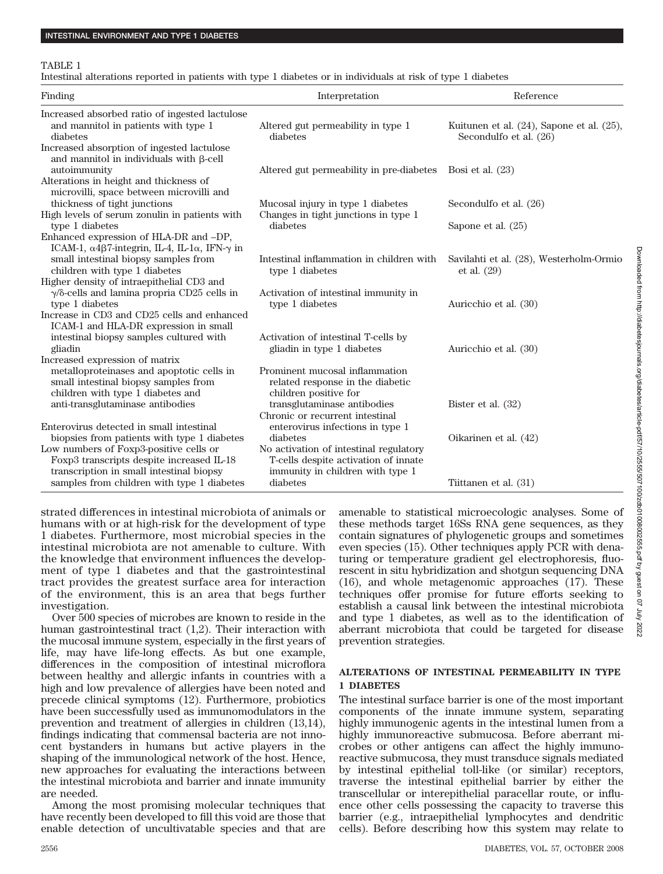## TABLE 1

Intestinal alterations reported in patients with type 1 diabetes or in individuals at risk of type 1 diabetes

| Finding                                                                                                                                                    | Interpretation                                                                                                             | Reference                                                                 |
|------------------------------------------------------------------------------------------------------------------------------------------------------------|----------------------------------------------------------------------------------------------------------------------------|---------------------------------------------------------------------------|
| Increased absorbed ratio of ingested lactulose<br>and mannitol in patients with type 1<br>diabetes                                                         | Altered gut permeability in type 1<br>diabetes                                                                             | Kuitunen et al. $(24)$ , Sapone et al. $(25)$ ,<br>Secondulfo et al. (26) |
| Increased absorption of ingested lactulose<br>and mannitol in individuals with $\beta$ -cell<br>autoimmunity                                               | Altered gut permeability in pre-diabetes                                                                                   | Bosi et al. $(23)$                                                        |
| Alterations in height and thickness of<br>microvilli, space between microvilli and<br>thickness of tight junctions                                         | Mucosal injury in type 1 diabetes                                                                                          | Secondulfo et al. (26)                                                    |
| High levels of serum zonulin in patients with<br>type 1 diabetes<br>Enhanced expression of HLA-DR and -DP,                                                 | Changes in tight junctions in type 1<br>diabetes                                                                           | Sapone et al. $(25)$                                                      |
| ICAM-1, $\alpha$ 4 $\beta$ 7-integrin, IL-4, IL-1 $\alpha$ , IFN- $\gamma$ in<br>small intestinal biopsy samples from<br>children with type 1 diabetes     | Intestinal inflammation in children with<br>type 1 diabetes                                                                | Savilahti et al. (28), Westerholm-Ormio<br>et al. $(29)$                  |
| Higher density of intraepithelial CD3 and<br>$\gamma/\delta$ -cells and lamina propria CD25 cells in<br>type 1 diabetes                                    | Activation of intestinal immunity in<br>type 1 diabetes                                                                    | Auricchio et al. (30)                                                     |
| Increase in CD3 and CD25 cells and enhanced<br>ICAM-1 and HLA-DR expression in small<br>intestinal biopsy samples cultured with                            | Activation of intestinal T-cells by                                                                                        |                                                                           |
| gliadin<br>Increased expression of matrix                                                                                                                  | gliadin in type 1 diabetes                                                                                                 | Auricchio et al. (30)                                                     |
| metalloproteinases and apoptotic cells in<br>small intestinal biopsy samples from<br>children with type 1 diabetes and<br>anti-transglutaminase antibodies | Prominent mucosal inflammation<br>related response in the diabetic<br>children positive for<br>transglutaminase antibodies | Bister et al. $(32)$                                                      |
| Enterovirus detected in small intestinal<br>biopsies from patients with type 1 diabetes                                                                    | Chronic or recurrent intestinal<br>enterovirus infections in type 1<br>diabetes                                            | Oikarinen et al. (42)                                                     |
| Low numbers of Foxp3-positive cells or<br>Foxp3 transcripts despite increased IL-18<br>transcription in small intestinal biopsy                            | No activation of intestinal regulatory<br>T-cells despite activation of innate<br>immunity in children with type 1         |                                                                           |
| samples from children with type 1 diabetes                                                                                                                 | diabetes                                                                                                                   | Tiittanen et al. (31)                                                     |

strated differences in intestinal microbiota of animals or humans with or at high-risk for the development of type 1 diabetes. Furthermore, most microbial species in the intestinal microbiota are not amenable to culture. With the knowledge that environment influences the development of type 1 diabetes and that the gastrointestinal tract provides the greatest surface area for interaction of the environment, this is an area that begs further investigation.

Over 500 species of microbes are known to reside in the human gastrointestinal tract (1,2). Their interaction with the mucosal immune system, especially in the first years of life, may have life-long effects. As but one example, differences in the composition of intestinal microflora between healthy and allergic infants in countries with a high and low prevalence of allergies have been noted and precede clinical symptoms (12). Furthermore, probiotics have been successfully used as immunomodulators in the prevention and treatment of allergies in children (13,14), findings indicating that commensal bacteria are not innocent bystanders in humans but active players in the shaping of the immunological network of the host. Hence, new approaches for evaluating the interactions between the intestinal microbiota and barrier and innate immunity are needed.

Among the most promising molecular techniques that have recently been developed to fill this void are those that enable detection of uncultivatable species and that are amenable to statistical microecologic analyses. Some of these methods target 16Ss RNA gene sequences, as they contain signatures of phylogenetic groups and sometimes even species (15). Other techniques apply PCR with denaturing or temperature gradient gel electrophoresis, fluorescent in situ hybridization and shotgun sequencing DNA (16), and whole metagenomic approaches (17). These techniques offer promise for future efforts seeking to establish a causal link between the intestinal microbiota and type 1 diabetes, as well as to the identification of aberrant microbiota that could be targeted for disease prevention strategies.

## **ALTERATIONS OF INTESTINAL PERMEABILITY IN TYPE 1 DIABETES**

The intestinal surface barrier is one of the most important components of the innate immune system, separating highly immunogenic agents in the intestinal lumen from a highly immunoreactive submucosa. Before aberrant microbes or other antigens can affect the highly immunoreactive submucosa, they must transduce signals mediated by intestinal epithelial toll-like (or similar) receptors, traverse the intestinal epithelial barrier by either the transcellular or interepithelial paracellar route, or influence other cells possessing the capacity to traverse this barrier (e.g., intraepithelial lymphocytes and dendritic cells). Before describing how this system may relate to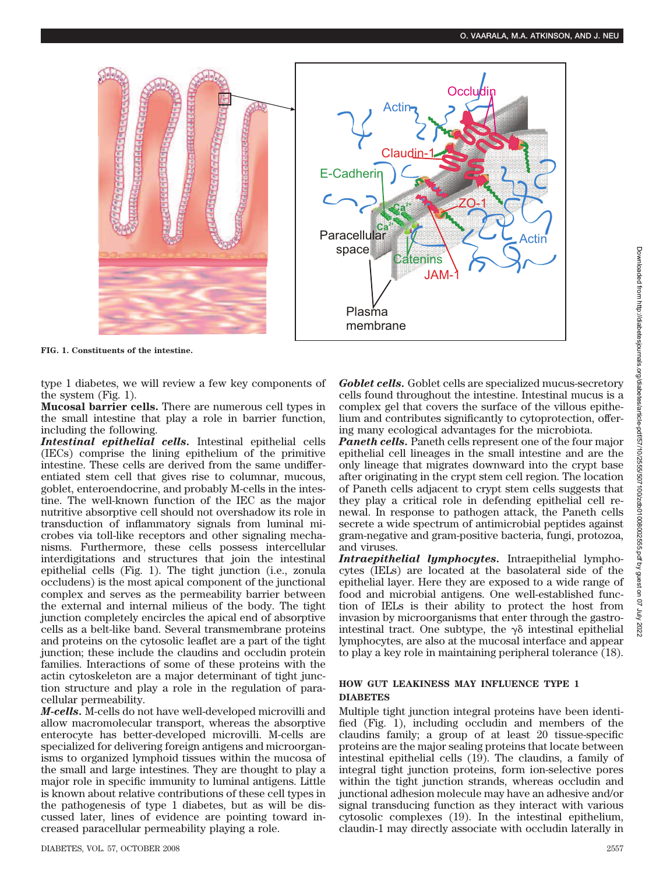

**FIG. 1. Constituents of the intestine.**

type 1 diabetes, we will review a few key components of the system (Fig. 1).

**Mucosal barrier cells.** There are numerous cell types in the small intestine that play a role in barrier function, including the following.

*Intestinal epithelial cells.* Intestinal epithelial cells (IECs) comprise the lining epithelium of the primitive intestine. These cells are derived from the same undifferentiated stem cell that gives rise to columnar, mucous, goblet, enteroendocrine, and probably M-cells in the intestine. The well-known function of the IEC as the major nutritive absorptive cell should not overshadow its role in transduction of inflammatory signals from luminal microbes via toll-like receptors and other signaling mechanisms. Furthermore, these cells possess intercellular interdigitations and structures that join the intestinal epithelial cells (Fig. 1). The tight junction (i.e., zonula occludens) is the most apical component of the junctional complex and serves as the permeability barrier between the external and internal milieus of the body. The tight junction completely encircles the apical end of absorptive cells as a belt-like band. Several transmembrane proteins and proteins on the cytosolic leaflet are a part of the tight junction; these include the claudins and occludin protein families. Interactions of some of these proteins with the actin cytoskeleton are a major determinant of tight junction structure and play a role in the regulation of paracellular permeability.

*M-cells.* M-cells do not have well-developed microvilli and allow macromolecular transport, whereas the absorptive enterocyte has better-developed microvilli. M-cells are specialized for delivering foreign antigens and microorganisms to organized lymphoid tissues within the mucosa of the small and large intestines. They are thought to play a major role in specific immunity to luminal antigens. Little is known about relative contributions of these cell types in the pathogenesis of type 1 diabetes, but as will be discussed later, lines of evidence are pointing toward increased paracellular permeability playing a role.

*Goblet cells.* Goblet cells are specialized mucus-secretory cells found throughout the intestine. Intestinal mucus is a complex gel that covers the surface of the villous epithelium and contributes significantly to cytoprotection, offering many ecological advantages for the microbiota.

*Paneth cells.* Paneth cells represent one of the four major epithelial cell lineages in the small intestine and are the only lineage that migrates downward into the crypt base after originating in the crypt stem cell region. The location of Paneth cells adjacent to crypt stem cells suggests that they play a critical role in defending epithelial cell renewal. In response to pathogen attack, the Paneth cells secrete a wide spectrum of antimicrobial peptides against gram-negative and gram-positive bacteria, fungi, protozoa, and viruses.

*Intraepithelial lymphocytes.* Intraepithelial lymphocytes (IELs) are located at the basolateral side of the epithelial layer. Here they are exposed to a wide range of food and microbial antigens. One well-established function of IELs is their ability to protect the host from invasion by microorganisms that enter through the gastrointestinal tract. One subtype, the  $\gamma\delta$  intestinal epithelial lymphocytes, are also at the mucosal interface and appear to play a key role in maintaining peripheral tolerance (18).

## **HOW GUT LEAKINESS MAY INFLUENCE TYPE 1 DIABETES**

Multiple tight junction integral proteins have been identified (Fig. 1), including occludin and members of the claudins family; a group of at least 20 tissue-specific proteins are the major sealing proteins that locate between intestinal epithelial cells (19). The claudins, a family of integral tight junction proteins, form ion-selective pores within the tight junction strands, whereas occludin and junctional adhesion molecule may have an adhesive and/or signal transducing function as they interact with various cytosolic complexes (19). In the intestinal epithelium, claudin-1 may directly associate with occludin laterally in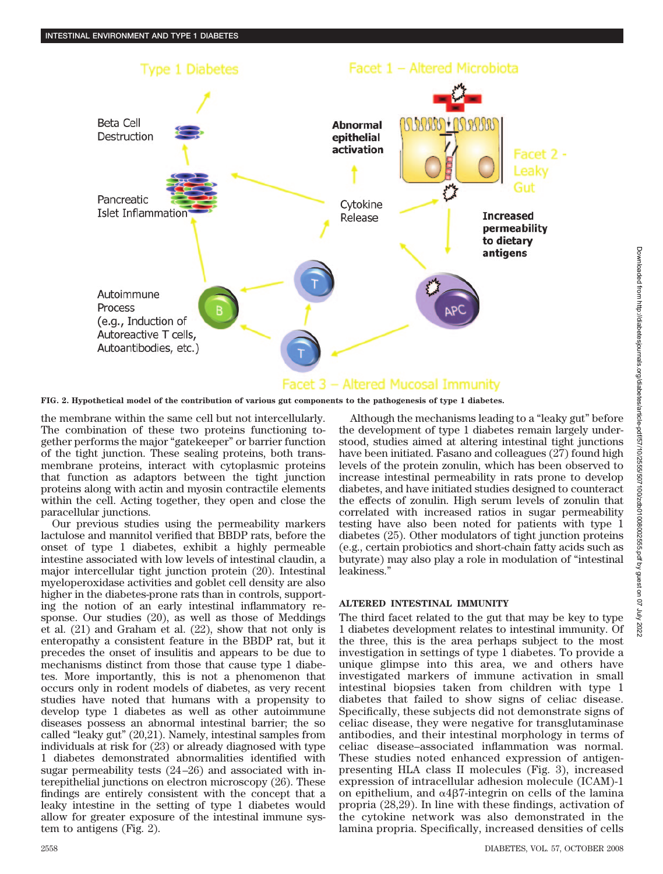

**FIG. 2. Hypothetical model of the contribution of various gut components to the pathogenesis of type 1 diabetes.**

the membrane within the same cell but not intercellularly. The combination of these two proteins functioning together performs the major "gatekeeper" or barrier function of the tight junction. These sealing proteins, both transmembrane proteins, interact with cytoplasmic proteins that function as adaptors between the tight junction proteins along with actin and myosin contractile elements within the cell. Acting together, they open and close the paracellular junctions.

Our previous studies using the permeability markers lactulose and mannitol verified that BBDP rats, before the onset of type 1 diabetes, exhibit a highly permeable intestine associated with low levels of intestinal claudin, a major intercellular tight junction protein (20). Intestinal myeloperoxidase activities and goblet cell density are also higher in the diabetes-prone rats than in controls, supporting the notion of an early intestinal inflammatory response. Our studies (20), as well as those of Meddings et al. (21) and Graham et al. (22), show that not only is enteropathy a consistent feature in the BBDP rat, but it precedes the onset of insulitis and appears to be due to mechanisms distinct from those that cause type 1 diabetes. More importantly, this is not a phenomenon that occurs only in rodent models of diabetes, as very recent studies have noted that humans with a propensity to develop type 1 diabetes as well as other autoimmune diseases possess an abnormal intestinal barrier; the so called "leaky gut" (20,21). Namely, intestinal samples from individuals at risk for (23) or already diagnosed with type 1 diabetes demonstrated abnormalities identified with sugar permeability tests (24–26) and associated with interepithelial junctions on electron microscopy (26). These findings are entirely consistent with the concept that a leaky intestine in the setting of type 1 diabetes would allow for greater exposure of the intestinal immune system to antigens (Fig. 2).

Although the mechanisms leading to a "leaky gut" before the development of type 1 diabetes remain largely understood, studies aimed at altering intestinal tight junctions have been initiated. Fasano and colleagues (27) found high levels of the protein zonulin, which has been observed to increase intestinal permeability in rats prone to develop diabetes, and have initiated studies designed to counteract the effects of zonulin. High serum levels of zonulin that correlated with increased ratios in sugar permeability testing have also been noted for patients with type 1 diabetes (25). Other modulators of tight junction proteins (e.g., certain probiotics and short-chain fatty acids such as butyrate) may also play a role in modulation of "intestinal leakiness."

#### **ALTERED INTESTINAL IMMUNITY**

The third facet related to the gut that may be key to type 1 diabetes development relates to intestinal immunity. Of the three, this is the area perhaps subject to the most investigation in settings of type 1 diabetes. To provide a unique glimpse into this area, we and others have investigated markers of immune activation in small intestinal biopsies taken from children with type 1 diabetes that failed to show signs of celiac disease. Specifically, these subjects did not demonstrate signs of celiac disease, they were negative for transglutaminase antibodies, and their intestinal morphology in terms of celiac disease–associated inflammation was normal. These studies noted enhanced expression of antigenpresenting HLA class II molecules (Fig. 3), increased expression of intracellular adhesion molecule (ICAM)-1 on epithelium, and  $\alpha$ 4 $\beta$ 7-integrin on cells of the lamina propria (28,29). In line with these findings, activation of the cytokine network was also demonstrated in the lamina propria. Specifically, increased densities of cells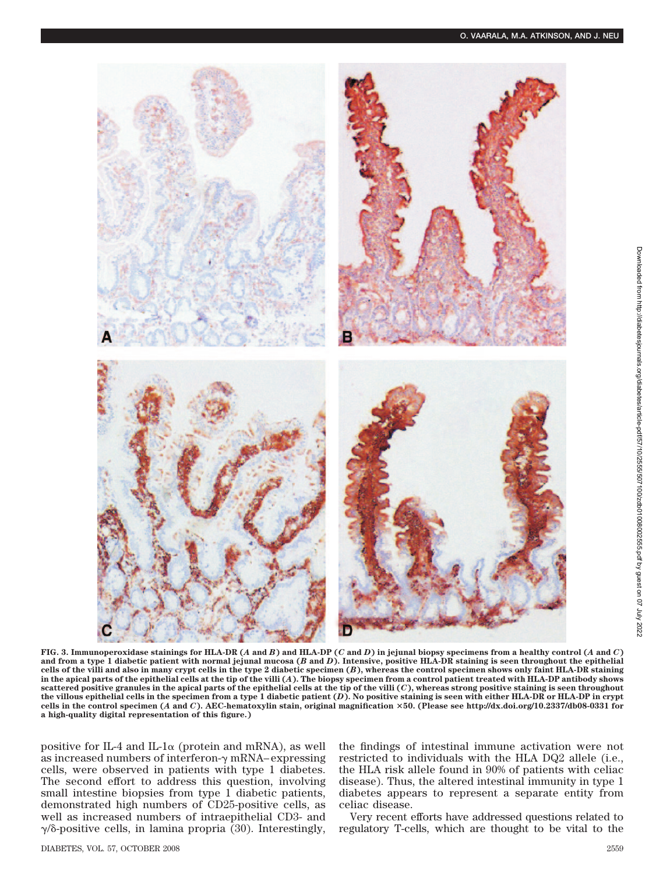

FIG. 3. Immunoperoxidase stainings for HLA-DR (A and B) and HLA-DP (C and D) in jejunal biopsy specimens from a healthy control (A and C) **and from a type 1 diabetic patient with normal jejunal mucosa (***B* **and** *D***). Intensive, positive HLA-DR staining is seen throughout the epithelial cells of the villi and also in many crypt cells in the type 2 diabetic specimen (***B***), whereas the control specimen shows only faint HLA-DR staining in the apical parts of the epithelial cells at the tip of the villi (***A***). The biopsy specimen from a control patient treated with HLA-DP antibody shows scattered positive granules in the apical parts of the epithelial cells at the tip of the villi (***C***), whereas strong positive staining is seen throughout the villous epithelial cells in the specimen from a type 1 diabetic patient (***D***). No positive staining is seen with either HLA-DR or HLA-DP in crypt cells in the control specimen (***A* **and** *C***). AEC-hematoxylin stain, original magnification 50. (Please see http://dx.doi.org/10.2337/db08-0331 for a high-quality digital representation of this figure.)**

positive for IL-4 and IL-1 $\alpha$  (protein and mRNA), as well as increased numbers of interferon- $\gamma$  mRNA–expressing cells, were observed in patients with type 1 diabetes. The second effort to address this question, involving small intestine biopsies from type 1 diabetic patients, demonstrated high numbers of CD25-positive cells, as well as increased numbers of intraepithelial CD3- and  $\gamma/\delta$ -positive cells, in lamina propria (30). Interestingly, the findings of intestinal immune activation were not restricted to individuals with the HLA DQ2 allele (i.e., the HLA risk allele found in 90% of patients with celiac disease). Thus, the altered intestinal immunity in type 1 diabetes appears to represent a separate entity from celiac disease.

Very recent efforts have addressed questions related to regulatory T-cells, which are thought to be vital to the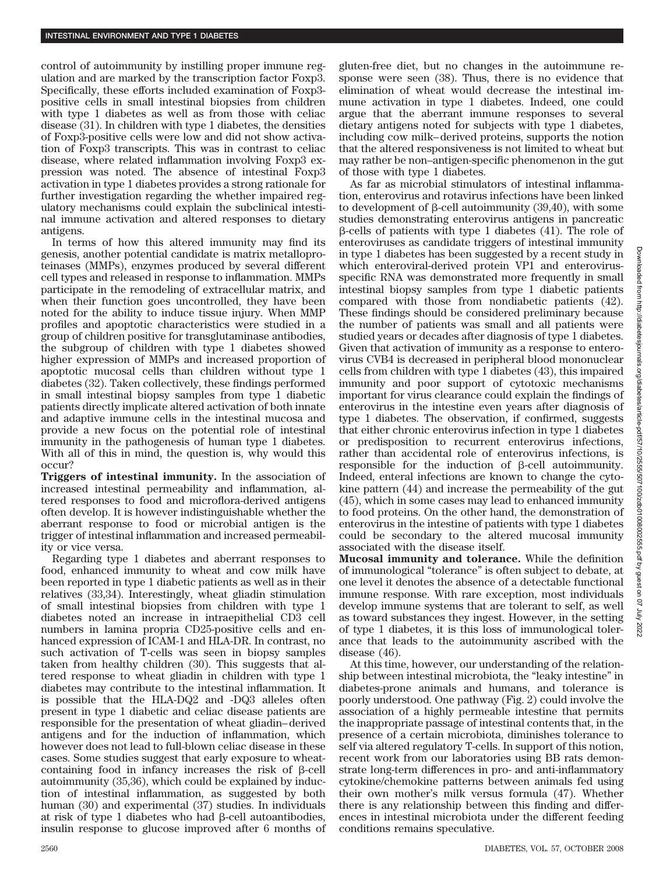control of autoimmunity by instilling proper immune regulation and are marked by the transcription factor Foxp3. Specifically, these efforts included examination of Foxp3 positive cells in small intestinal biopsies from children with type 1 diabetes as well as from those with celiac disease (31). In children with type 1 diabetes, the densities of Foxp3-positive cells were low and did not show activation of Foxp3 transcripts. This was in contrast to celiac disease, where related inflammation involving Foxp3 expression was noted. The absence of intestinal Foxp3 activation in type 1 diabetes provides a strong rationale for further investigation regarding the whether impaired regulatory mechanisms could explain the subclinical intestinal immune activation and altered responses to dietary antigens.

In terms of how this altered immunity may find its genesis, another potential candidate is matrix metalloproteinases (MMPs), enzymes produced by several different cell types and released in response to inflammation. MMPs participate in the remodeling of extracellular matrix, and when their function goes uncontrolled, they have been noted for the ability to induce tissue injury. When MMP profiles and apoptotic characteristics were studied in a group of children positive for transglutaminase antibodies, the subgroup of children with type 1 diabetes showed higher expression of MMPs and increased proportion of apoptotic mucosal cells than children without type 1 diabetes (32). Taken collectively, these findings performed in small intestinal biopsy samples from type 1 diabetic patients directly implicate altered activation of both innate and adaptive immune cells in the intestinal mucosa and provide a new focus on the potential role of intestinal immunity in the pathogenesis of human type 1 diabetes. With all of this in mind, the question is, why would this occur?

**Triggers of intestinal immunity.** In the association of increased intestinal permeability and inflammation, altered responses to food and microflora-derived antigens often develop. It is however indistinguishable whether the aberrant response to food or microbial antigen is the trigger of intestinal inflammation and increased permeability or vice versa.

Regarding type 1 diabetes and aberrant responses to food, enhanced immunity to wheat and cow milk have been reported in type 1 diabetic patients as well as in their relatives (33,34). Interestingly, wheat gliadin stimulation of small intestinal biopsies from children with type 1 diabetes noted an increase in intraepithelial CD3 cell numbers in lamina propria CD25-positive cells and enhanced expression of ICAM-1 and HLA-DR. In contrast, no such activation of T-cells was seen in biopsy samples taken from healthy children (30). This suggests that altered response to wheat gliadin in children with type 1 diabetes may contribute to the intestinal inflammation. It is possible that the HLA-DQ2 and -DQ3 alleles often present in type 1 diabetic and celiac disease patients are responsible for the presentation of wheat gliadin–derived antigens and for the induction of inflammation, which however does not lead to full-blown celiac disease in these cases. Some studies suggest that early exposure to wheatcontaining food in infancy increases the risk of  $\beta$ -cell autoimmunity (35,36), which could be explained by induction of intestinal inflammation, as suggested by both human (30) and experimental (37) studies. In individuals at risk of type 1 diabetes who had  $\beta$ -cell autoantibodies, insulin response to glucose improved after 6 months of gluten-free diet, but no changes in the autoimmune response were seen (38). Thus, there is no evidence that elimination of wheat would decrease the intestinal immune activation in type 1 diabetes. Indeed, one could argue that the aberrant immune responses to several dietary antigens noted for subjects with type 1 diabetes, including cow milk–derived proteins, supports the notion that the altered responsiveness is not limited to wheat but may rather be non–antigen-specific phenomenon in the gut of those with type 1 diabetes.

As far as microbial stimulators of intestinal inflammation, enterovirus and rotavirus infections have been linked to development of  $\beta$ -cell autoimmunity (39,40), with some studies demonstrating enterovirus antigens in pancreatic  $\beta$ -cells of patients with type 1 diabetes (41). The role of enteroviruses as candidate triggers of intestinal immunity in type 1 diabetes has been suggested by a recent study in which enteroviral-derived protein VP1 and enterovirusspecific RNA was demonstrated more frequently in small intestinal biopsy samples from type 1 diabetic patients compared with those from nondiabetic patients (42). These findings should be considered preliminary because the number of patients was small and all patients were studied years or decades after diagnosis of type 1 diabetes. Given that activation of immunity as a response to enterovirus CVB4 is decreased in peripheral blood mononuclear cells from children with type 1 diabetes (43), this impaired immunity and poor support of cytotoxic mechanisms important for virus clearance could explain the findings of enterovirus in the intestine even years after diagnosis of type 1 diabetes. The observation, if confirmed, suggests that either chronic enterovirus infection in type 1 diabetes or predisposition to recurrent enterovirus infections, rather than accidental role of enterovirus infections, is responsible for the induction of  $\beta$ -cell autoimmunity. Indeed, enteral infections are known to change the cytokine pattern (44) and increase the permeability of the gut (45), which in some cases may lead to enhanced immunity to food proteins. On the other hand, the demonstration of enterovirus in the intestine of patients with type 1 diabetes could be secondary to the altered mucosal immunity associated with the disease itself.

**Mucosal immunity and tolerance.** While the definition of immunological "tolerance" is often subject to debate, at one level it denotes the absence of a detectable functional immune response. With rare exception, most individuals develop immune systems that are tolerant to self, as well as toward substances they ingest. However, in the setting of type 1 diabetes, it is this loss of immunological tolerance that leads to the autoimmunity ascribed with the disease (46).

At this time, however, our understanding of the relationship between intestinal microbiota, the "leaky intestine" in diabetes-prone animals and humans, and tolerance is poorly understood. One pathway (Fig. 2) could involve the association of a highly permeable intestine that permits the inappropriate passage of intestinal contents that, in the presence of a certain microbiota, diminishes tolerance to self via altered regulatory T-cells. In support of this notion, recent work from our laboratories using BB rats demonstrate long-term differences in pro- and anti-inflammatory cytokine/chemokine patterns between animals fed using their own mother's milk versus formula (47). Whether there is any relationship between this finding and differences in intestinal microbiota under the different feeding conditions remains speculative.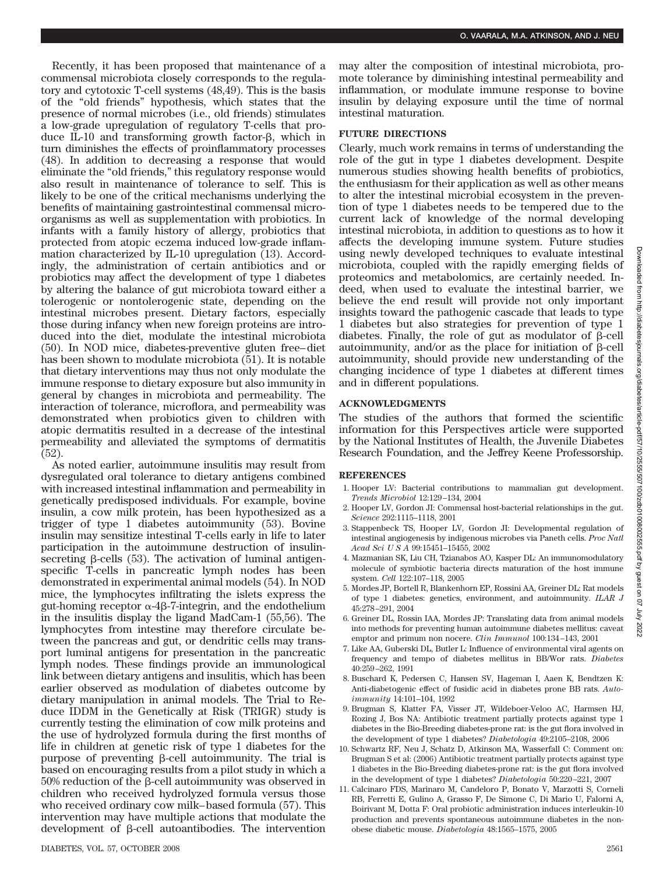Recently, it has been proposed that maintenance of a commensal microbiota closely corresponds to the regulatory and cytotoxic T-cell systems (48,49). This is the basis of the "old friends" hypothesis, which states that the presence of normal microbes (i.e., old friends) stimulates a low-grade upregulation of regulatory T-cells that produce IL-10 and transforming growth factor- $\beta$ , which in turn diminishes the effects of proinflammatory processes (48). In addition to decreasing a response that would eliminate the "old friends," this regulatory response would also result in maintenance of tolerance to self. This is likely to be one of the critical mechanisms underlying the benefits of maintaining gastrointestinal commensal microorganisms as well as supplementation with probiotics. In infants with a family history of allergy, probiotics that protected from atopic eczema induced low-grade inflammation characterized by IL-10 upregulation (13). Accordingly, the administration of certain antibiotics and or probiotics may affect the development of type 1 diabetes by altering the balance of gut microbiota toward either a tolerogenic or nontolerogenic state, depending on the intestinal microbes present. Dietary factors, especially those during infancy when new foreign proteins are introduced into the diet, modulate the intestinal microbiota (50). In NOD mice, diabetes-preventive gluten free–diet has been shown to modulate microbiota (51). It is notable that dietary interventions may thus not only modulate the immune response to dietary exposure but also immunity in general by changes in microbiota and permeability. The interaction of tolerance, microflora, and permeability was demonstrated when probiotics given to children with atopic dermatitis resulted in a decrease of the intestinal permeability and alleviated the symptoms of dermatitis (52).

As noted earlier, autoimmune insulitis may result from dysregulated oral tolerance to dietary antigens combined with increased intestinal inflammation and permeability in genetically predisposed individuals. For example, bovine insulin, a cow milk protein, has been hypothesized as a trigger of type 1 diabetes autoimmunity (53). Bovine insulin may sensitize intestinal T-cells early in life to later participation in the autoimmune destruction of insulinsecreting  $\beta$ -cells (53). The activation of luminal antigenspecific T-cells in pancreatic lymph nodes has been demonstrated in experimental animal models (54). In NOD mice, the lymphocytes infiltrating the islets express the gut-homing receptor  $\alpha$ -4 $\beta$ -7-integrin, and the endothelium in the insulitis display the ligand MadCam-1 (55,56). The lymphocytes from intestine may therefore circulate between the pancreas and gut, or dendritic cells may transport luminal antigens for presentation in the pancreatic lymph nodes. These findings provide an immunological link between dietary antigens and insulitis, which has been earlier observed as modulation of diabetes outcome by dietary manipulation in animal models. The Trial to Reduce IDDM in the Genetically at Risk (TRIGR) study is currently testing the elimination of cow milk proteins and the use of hydrolyzed formula during the first months of life in children at genetic risk of type 1 diabetes for the purpose of preventing  $\beta$ -cell autoimmunity. The trial is based on encouraging results from a pilot study in which a  $50\%$  reduction of the  $\beta$ -cell autoimmunity was observed in children who received hydrolyzed formula versus those who received ordinary cow milk–based formula (57). This intervention may have multiple actions that modulate the development of  $\beta$ -cell autoantibodies. The intervention

may alter the composition of intestinal microbiota, promote tolerance by diminishing intestinal permeability and inflammation, or modulate immune response to bovine insulin by delaying exposure until the time of normal intestinal maturation.

## **FUTURE DIRECTIONS**

Clearly, much work remains in terms of understanding the role of the gut in type 1 diabetes development. Despite numerous studies showing health benefits of probiotics, the enthusiasm for their application as well as other means to alter the intestinal microbial ecosystem in the prevention of type 1 diabetes needs to be tempered due to the current lack of knowledge of the normal developing intestinal microbiota, in addition to questions as to how it affects the developing immune system. Future studies using newly developed techniques to evaluate intestinal microbiota, coupled with the rapidly emerging fields of proteomics and metabolomics, are certainly needed. Indeed, when used to evaluate the intestinal barrier, we believe the end result will provide not only important insights toward the pathogenic cascade that leads to type 1 diabetes but also strategies for prevention of type 1 diabetes. Finally, the role of gut as modulator of  $\beta$ -cell autoimmunity, and/or as the place for initiation of  $\beta$ -cell autoimmunity, should provide new understanding of the changing incidence of type 1 diabetes at different times and in different populations.

#### **ACKNOWLEDGMENTS**

The studies of the authors that formed the scientific information for this Perspectives article were supported by the National Institutes of Health, the Juvenile Diabetes Research Foundation, and the Jeffrey Keene Professorship.

#### **REFERENCES**

- 1. Hooper LV: Bacterial contributions to mammalian gut development. *Trends Microbiol* 12:129–134, 2004
- 2. Hooper LV, Gordon JI: Commensal host-bacterial relationships in the gut. *Science* 292:1115–1118, 2001
- 3. Stappenbeck TS, Hooper LV, Gordon JI: Developmental regulation of intestinal angiogenesis by indigenous microbes via Paneth cells. *Proc Natl Acad SciUSA* 99:15451–15455, 2002
- 4. Mazmanian SK, Liu CH, Tzianabos AO, Kasper DL: An immunomodulatory molecule of symbiotic bacteria directs maturation of the host immune system. *Cell* 122:107–118, 2005
- 5. Mordes JP, Bortell R, Blankenhorn EP, Rossini AA, Greiner DL: Rat models of type 1 diabetes: genetics, environment, and autoimmunity. *ILAR J* 45:278–291, 2004
- 6. Greiner DL, Rossin IAA, Mordes JP: Translating data from animal models into methods for preventing human autoimmune diabetes mellitus: caveat emptor and primum non nocere. *Clin Immunol* 100:134–143, 2001
- 7. Like AA, Guberski DL, Butler L: Influence of environmental viral agents on frequency and tempo of diabetes mellitus in BB/Wor rats. *Diabetes* 40:259–262, 1991
- 8. Buschard K, Pedersen C, Hansen SV, Hageman I, Aaen K, Bendtzen K: Anti-diabetogenic effect of fusidic acid in diabetes prone BB rats. *Autoimmunity* 14:101–104, 1992
- 9. Brugman S, Klatter FA, Visser JT, Wildeboer-Veloo AC, Harmsen HJ, Rozing J, Bos NA: Antibiotic treatment partially protects against type 1 diabetes in the Bio-Breeding diabetes-prone rat: is the gut flora involved in the development of type 1 diabetes? *Diabetologia* 49:2105–2108, 2006
- 10. Schwartz RF, Neu J, Schatz D, Atkinson MA, Wasserfall C: Comment on: Brugman S et al: (2006) Antibiotic treatment partially protects against type 1 diabetes in the Bio-Breeding diabetes-prone rat: is the gut flora involved in the development of type 1 diabetes? *Diabetologia* 50:220–221, 2007
- 11. Calcinaro FDS, Marinaro M, Candeloro P, Bonato V, Marzotti S, Corneli RB, Ferretti E, Gulino A, Grasso F, De Simone C, Di Mario U, Falorni A, Boirivant M, Dotta F: Oral probiotic administration induces interleukin-10 production and prevents spontaneous autoimmune diabetes in the nonobese diabetic mouse. *Diabetologia* 48:1565–1575, 2005